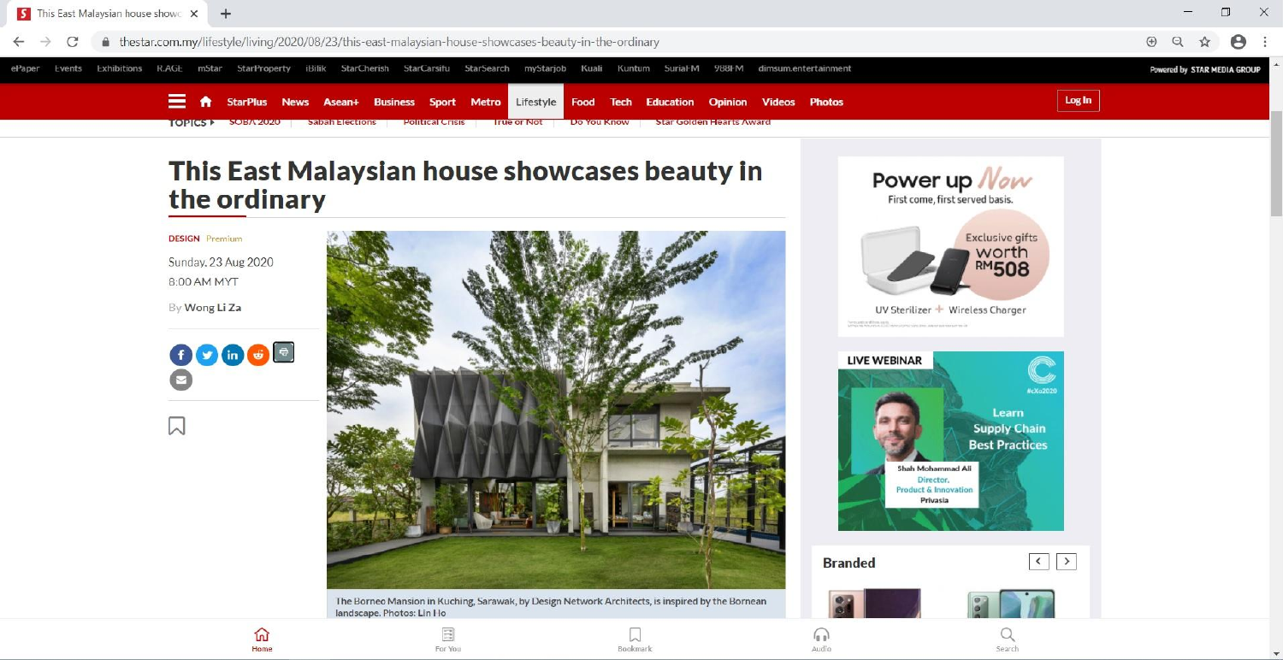

## This East Malaysian house showcases beauty in the ordinary

## **DESIGN** Premium

Sunday, 23 Aug 2020 8:00 AM MYT

By Wong Li Za



 $\Box$ 



The Bornec Mansion in Kuching, Sarawak, by Design Network Architects, is inspired by the Bornean landscape. Photos: Lin Ho











 $\frac{1}{\sqrt{2}}$ For You



Audio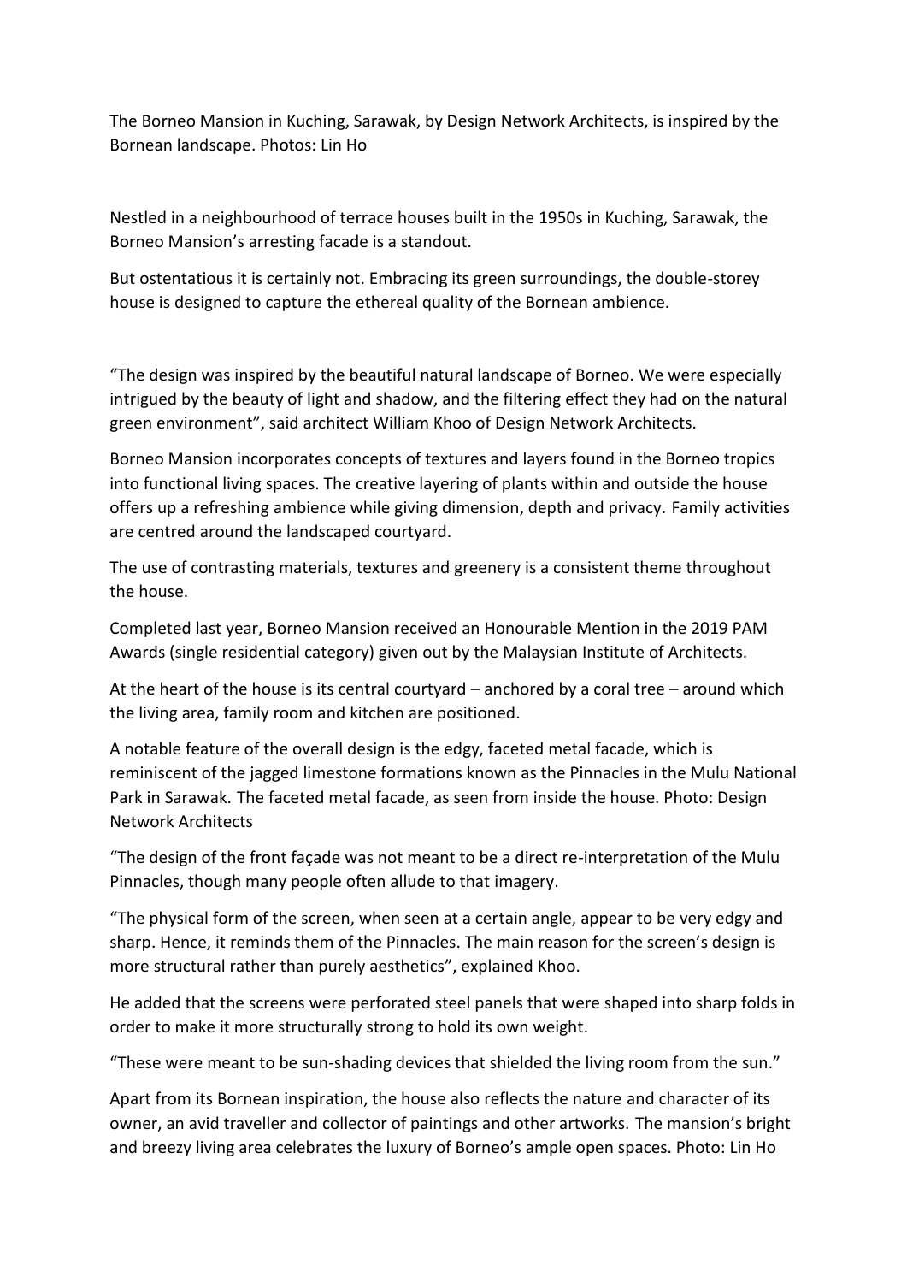The Borneo Mansion in Kuching, Sarawak, by Design Network Architects, is inspired by the Bornean landscape. Photos: Lin Ho

Nestled in a neighbourhood of terrace houses built in the 1950s in Kuching, Sarawak, the Borneo Mansion's arresting facade is a standout.

But ostentatious it is certainly not. Embracing its green surroundings, the double-storey house is designed to capture the ethereal quality of the Bornean ambience.

"The design was inspired by the beautiful natural landscape of Borneo. We were especially intrigued by the beauty of light and shadow, and the filtering effect they had on the natural green environment", said architect William Khoo of Design Network Architects.

Borneo Mansion incorporates concepts of textures and layers found in the Borneo tropics into functional living spaces. The creative layering of plants within and outside the house offers up a refreshing ambience while giving dimension, depth and privacy. Family activities are centred around the landscaped courtyard.

The use of contrasting materials, textures and greenery is a consistent theme throughout the house.

Completed last year, Borneo Mansion received an Honourable Mention in the 2019 PAM Awards (single residential category) given out by the Malaysian Institute of Architects.

At the heart of the house is its central courtyard – anchored by a coral tree – around which the living area, family room and kitchen are positioned.

A notable feature of the overall design is the edgy, faceted metal facade, which is reminiscent of the jagged limestone formations known as the Pinnacles in the Mulu National Park in Sarawak. The faceted metal facade, as seen from inside the house. Photo: Design Network Architects

"The design of the front façade was not meant to be a direct re-interpretation of the Mulu Pinnacles, though many people often allude to that imagery.

"The physical form of the screen, when seen at a certain angle, appear to be very edgy and sharp. Hence, it reminds them of the Pinnacles. The main reason for the screen's design is more structural rather than purely aesthetics", explained Khoo.

He added that the screens were perforated steel panels that were shaped into sharp folds in order to make it more structurally strong to hold its own weight.

"These were meant to be sun-shading devices that shielded the living room from the sun."

Apart from its Bornean inspiration, the house also reflects the nature and character of its owner, an avid traveller and collector of paintings and other artworks. The mansion's bright and breezy living area celebrates the luxury of Borneo's ample open spaces. Photo: Lin Ho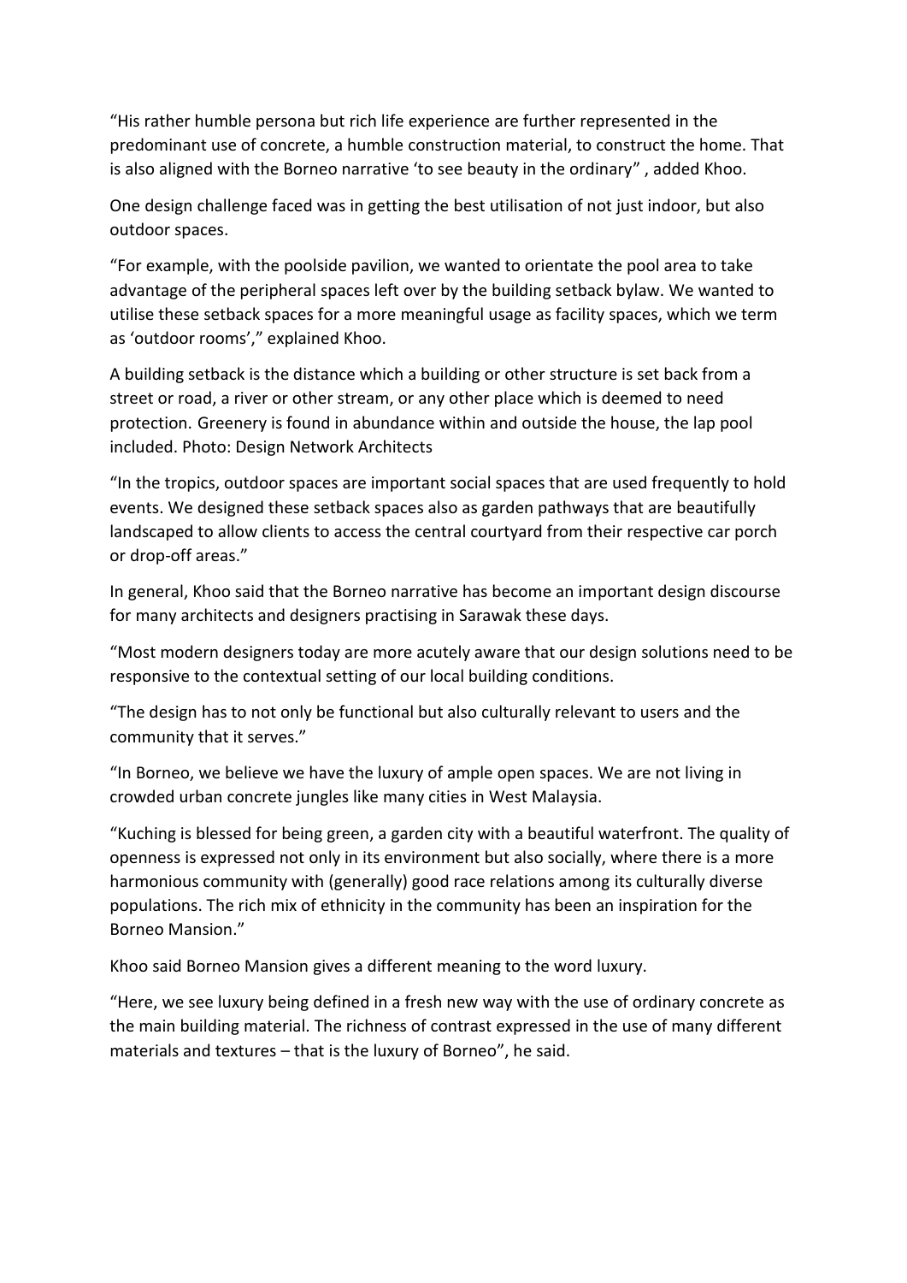"His rather humble persona but rich life experience are further represented in the predominant use of concrete, a humble construction material, to construct the home. That is also aligned with the Borneo narrative 'to see beauty in the ordinary" , added Khoo.

One design challenge faced was in getting the best utilisation of not just indoor, but also outdoor spaces.

"For example, with the poolside pavilion, we wanted to orientate the pool area to take advantage of the peripheral spaces left over by the building setback bylaw. We wanted to utilise these setback spaces for a more meaningful usage as facility spaces, which we term as 'outdoor rooms'," explained Khoo.

A building setback is the distance which a building or other structure is set back from a street or road, a river or other stream, or any other place which is deemed to need protection. Greenery is found in abundance within and outside the house, the lap pool included. Photo: Design Network Architects

"In the tropics, outdoor spaces are important social spaces that are used frequently to hold events. We designed these setback spaces also as garden pathways that are beautifully landscaped to allow clients to access the central courtyard from their respective car porch or drop-off areas."

In general, Khoo said that the Borneo narrative has become an important design discourse for many architects and designers practising in Sarawak these days.

"Most modern designers today are more acutely aware that our design solutions need to be responsive to the contextual setting of our local building conditions.

"The design has to not only be functional but also culturally relevant to users and the community that it serves."

"In Borneo, we believe we have the luxury of ample open spaces. We are not living in crowded urban concrete jungles like many cities in West Malaysia.

"Kuching is blessed for being green, a garden city with a beautiful waterfront. The quality of openness is expressed not only in its environment but also socially, where there is a more harmonious community with (generally) good race relations among its culturally diverse populations. The rich mix of ethnicity in the community has been an inspiration for the Borneo Mansion."

Khoo said Borneo Mansion gives a different meaning to the word luxury.

"Here, we see luxury being defined in a fresh new way with the use of ordinary concrete as the main building material. The richness of contrast expressed in the use of many different materials and textures – that is the luxury of Borneo", he said.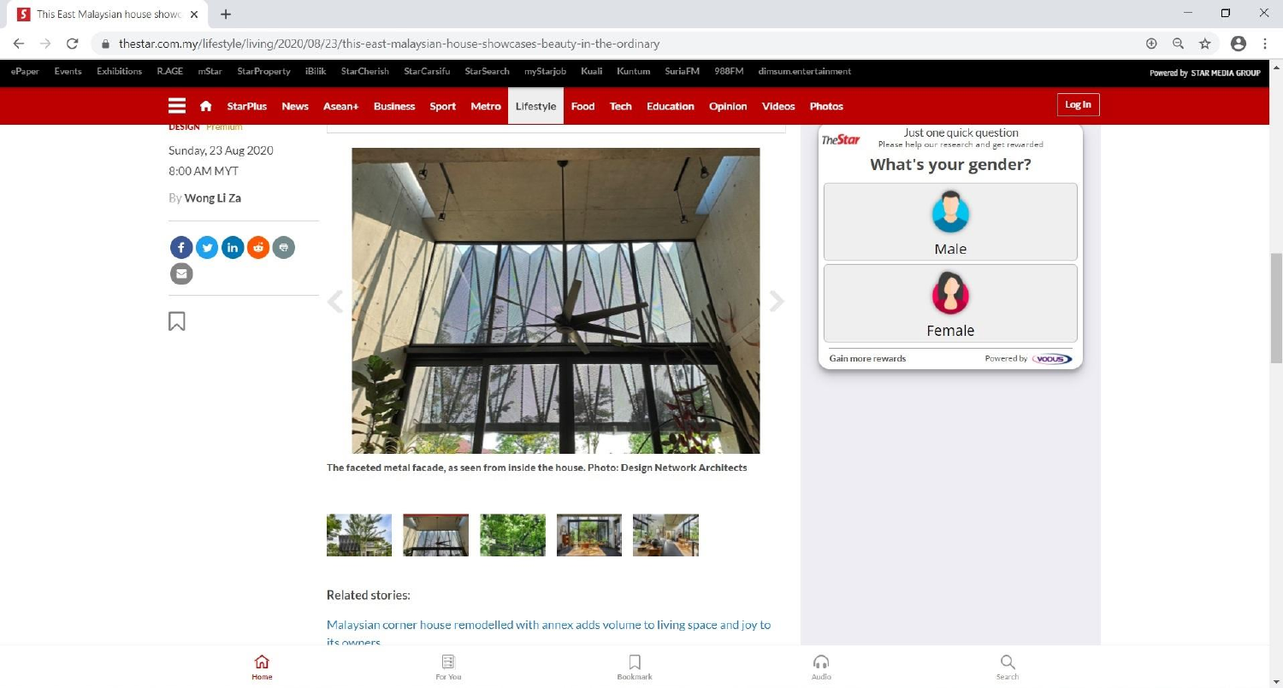

俞 Home

For You

IJ Bookmark

 $\Omega$ Audio

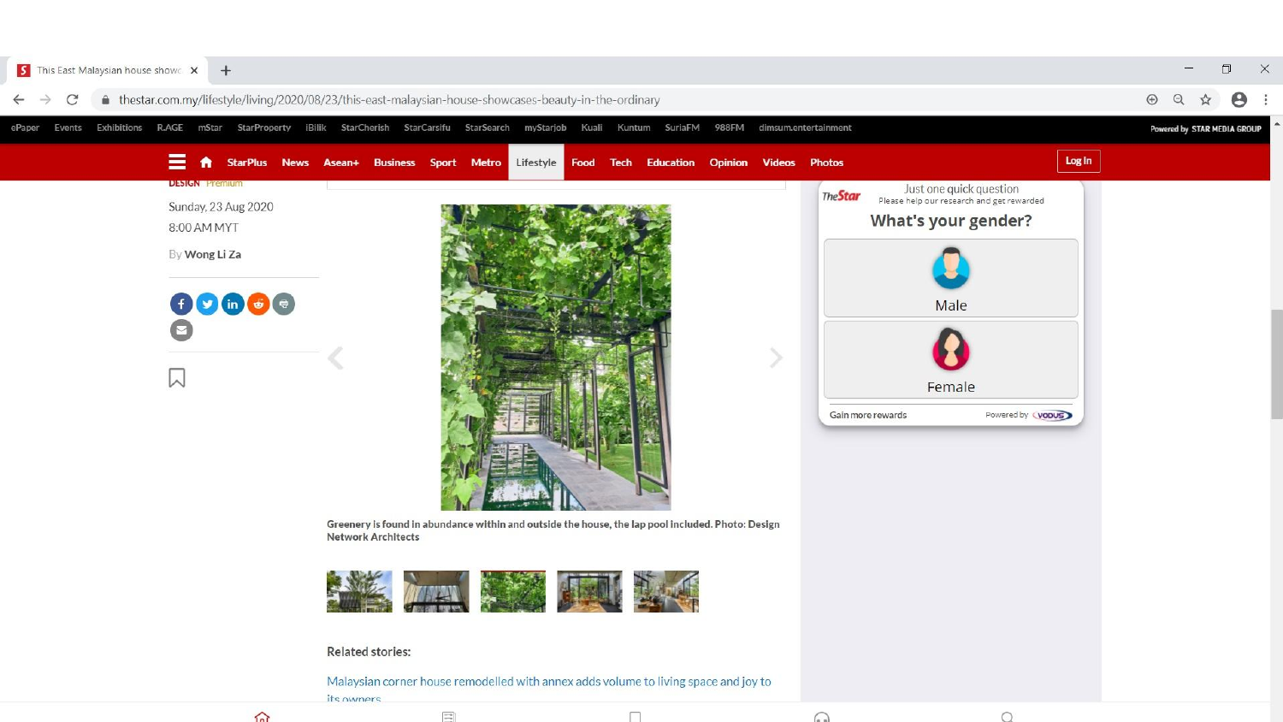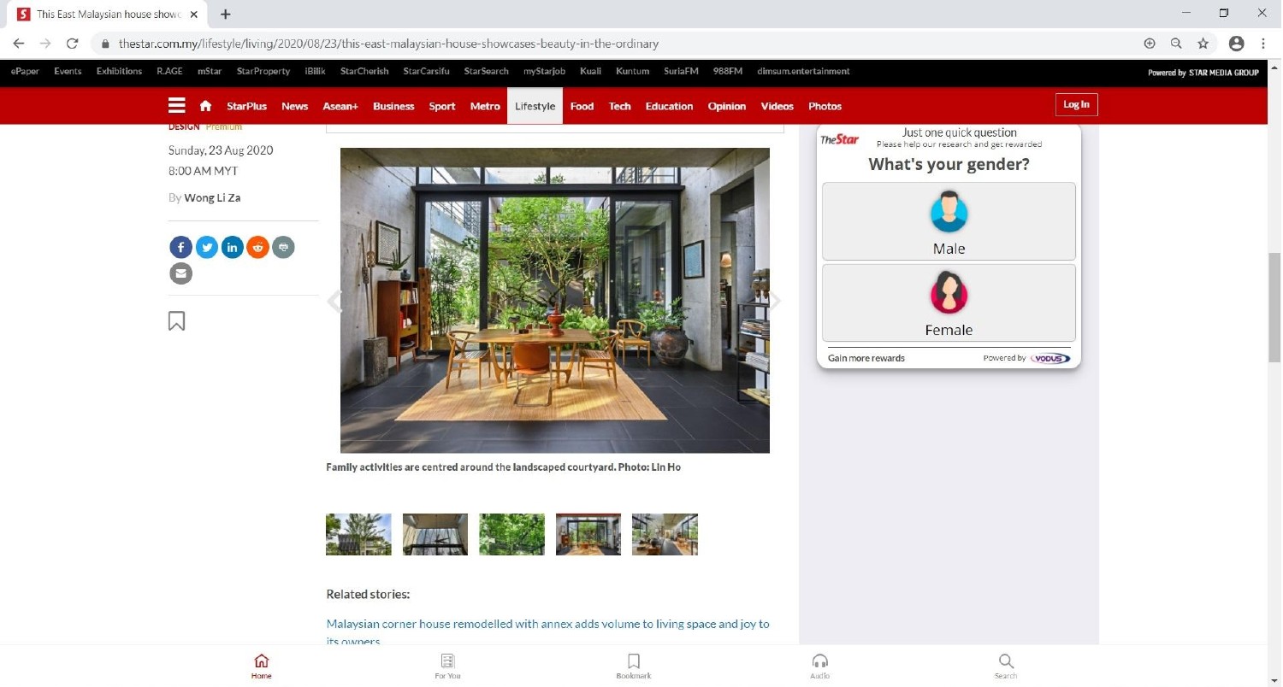



俞 Home

For You